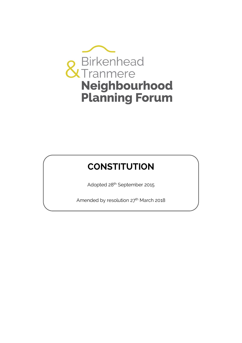

# **CONSTITUTION**

Adopted 28<sup>th</sup> September 2015

Amended by resolution 27<sup>th</sup> March 2018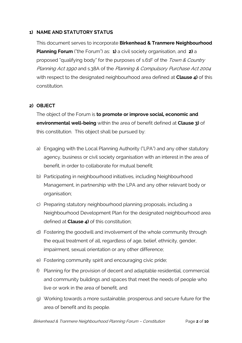## **1) NAME AND STATUTORY STATUS**

This document serves to incorporate **Birkenhead & Tranmere Neighbourhood Planning Forum** ("the Forum") as: **1)** a civil society organisation, and **2)** a proposed "qualifying body" for the purposes of s.61F of the Town & Country Planning Act 1990 and s.38A of the Planning & Compulsory Purchase Act 2004 with respect to the designated neighbourhood area defined at **Clause 4)** of this constitution.

## **2) OBJECT**

The object of the Forum is **to promote or improve social, economic and environmental well-being** within the area of benefit defined at **Clause 3)** of this constitution. This object shall be pursued by:

- a) Engaging with the Local Planning Authority ("LPA") and any other statutory agency, business or civil society organisation with an interest in the area of benefit, in order to collaborate for mutual benefit;
- b) Participating in neighbourhood initiatives, including Neighbourhood Management, in partnership with the LPA and any other relevant body or organisation;
- c) Preparing statutory neighbourhood planning proposals, including a Neighbourhood Development Plan for the designated neighbourhood area defined at **Clause 4)** of this constitution;
- d) Fostering the goodwill and involvement of the whole community through the equal treatment of all, regardless of age, belief, ethnicity, gender, impairment, sexual orientation or any other difference;
- e) Fostering community spirit and encouraging civic pride;
- f) Planning for the provision of decent and adaptable residential, commercial and community buildings and spaces that meet the needs of people who live or work in the area of benefit, and
- g) Working towards a more sustainable, prosperous and secure future for the area of benefit and its people.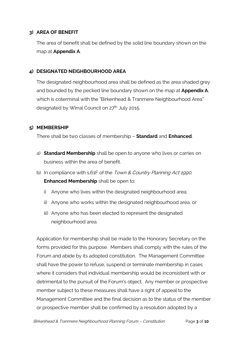## **3) AREA OF BENEFIT**

The area of benefit shall be defined by the solid line boundary shown on the map at **Appendix A**.

#### **4) DESIGNATED NEIGHBOURHOOD AREA**

The designated neighbourhood area shall be defined as the area shaded grey and bounded by the pecked line boundary shown on the map at **Appendix A**, which is coterminal with the "Birkenhead & Tranmere Neighbourhood Area" designated by Wirral Council on 27<sup>th</sup> July 2015.

#### **5) MEMBERSHIP**

There shall be two classes of membership – **Standard** and **Enhanced**.

- a) **Standard Membership** shall be open to anyone who lives or carries on business within the area of benefit.
- b) In compliance with s.61F of the Town & Country Planning Act 1990, **Enhanced Membership** shall be open to:
	- i) Anyone who lives within the designated neighbourhood area;
	- ii) Anyone who works within the designated neighbourhood area, or
	- iii) Anyone who has been elected to represent the designated neighbourhood area.

Application for membership shall be made to the Honorary Secretary on the forms provided for this purpose. Members shall comply with the rules of the Forum and abide by its adopted constitution. The Management Committee shall have the power to refuse, suspend or terminate membership in cases where it considers that individual membership would be inconsistent with or detrimental to the pursuit of the Forum's object. Any member or prospective member subject to these measures shall have a right of appeal to the Management Committee and the final decision as to the status of the member or prospective member shall be confirmed by a resolution adopted by a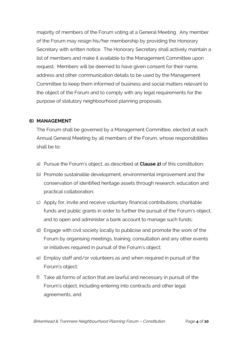majority of members of the Forum voting at a General Meeting. Any member of the Forum may resign his/her membership by providing the Honorary Secretary with written notice. The Honorary Secretary shall actively maintain a list of members and make it available to the Management Committee upon request. Members will be deemed to have given consent for their name, address and other communication details to be used by the Management Committee to keep them informed of business and social matters relevant to the object of the Forum and to comply with any legal requirements for the purpose of statutory neighbourhood planning proposals.

# **6) MANAGEMENT**

The Forum shall be governed by a Management Committee, elected at each Annual General Meeting by all members of the Forum, whose responsibilities shall be to:

- a) Pursue the Forum's object, as described at **Clause 2)** of this constitution;
- b) Promote sustainable development, environmental improvement and the conservation of identified heritage assets through research, education and practical collaboration;
- c) Apply for, invite and receive voluntary financial contributions, charitable funds and public grants in order to further the pursuit of the Forum's object, and to open and administer a bank account to manage such funds;
- d) Engage with civil society locally to publicise and promote the work of the Forum by organising meetings, training, consultation and any other events or initiatives required in pursuit of the Forum's object;
- e) Employ staff and/or volunteers as and when required in pursuit of the Forum's object;
- f) Take all forms of action that are lawful and necessary in pursuit of the Forum's object, including entering into contracts and other legal agreements, and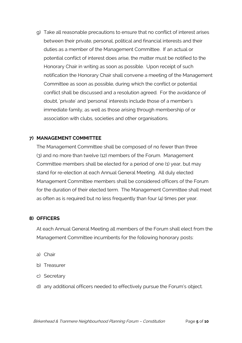g) Take all reasonable precautions to ensure that no conflict of interest arises between their private, personal, political and financial interests and their duties as a member of the Management Committee. If an actual or potential conflict of interest does arise, the matter must be notified to the Honorary Chair in writing as soon as possible. Upon receipt of such notification the Honorary Chair shall convene a meeting of the Management Committee as soon as possible, during which the conflict or potential conflict shall be discussed and a resolution agreed. For the avoidance of doubt, 'private' and 'personal' interests include those of a member's immediate family, as well as those arising through membership of or association with clubs, societies and other organisations.

# **7) MANAGEMENT COMMITTEE**

The Management Committee shall be composed of no fewer than three (3) and no more than twelve (12) members of the Forum. Management Committee members shall be elected for a period of one (1) year, but may stand for re-election at each Annual General Meeting. All duly elected Management Committee members shall be considered officers of the Forum for the duration of their elected term. The Management Committee shall meet as often as is required but no less frequently than four (4) times per year.

# **8) OFFICERS**

At each Annual General Meeting all members of the Forum shall elect from the Management Committee incumbents for the following honorary posts:

- a) Chair
- b) Treasurer
- c) Secretary
- d) any additional officers needed to effectively pursue the Forum's object.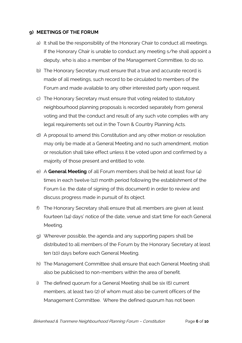#### **9) MEETINGS OF THE FORUM**

- a) It shall be the responsibility of the Honorary Chair to conduct all meetings. If the Honorary Chair is unable to conduct any meeting s/he shall appoint a deputy, who is also a member of the Management Committee, to do so.
- b) The Honorary Secretary must ensure that a true and accurate record is made of all meetings, such record to be circulated to members of the Forum and made available to any other interested party upon request.
- c) The Honorary Secretary must ensure that voting related to statutory neighbourhood planning proposals is recorded separately from general voting and that the conduct and result of any such vote complies with any legal requirements set out in the Town & Country Planning Acts.
- d) A proposal to amend this Constitution and any other motion or resolution may only be made at a General Meeting and no such amendment, motion or resolution shall take effect unless it be voted upon and confirmed by a majority of those present and entitled to vote.
- e) A **General Meeting** of all Forum members shall be held at least four (4) times in each twelve (12) month period following the establishment of the Forum (i.e. the date of signing of this document) in order to review and discuss progress made in pursuit of its object.
- f) The Honorary Secretary shall ensure that all members are given at least fourteen (14) days' notice of the date, venue and start time for each General Meeting.
- g) Wherever possible, the agenda and any supporting papers shall be distributed to all members of the Forum by the Honorary Secretary at least ten (10) days before each General Meeting.
- h) The Management Committee shall ensure that each General Meeting shall also be publicised to non-members within the area of benefit.
- i) The defined quorum for a General Meeting shall be six (6) current members, at least two (2) of whom must also be current officers of the Management Committee. Where the defined quorum has not been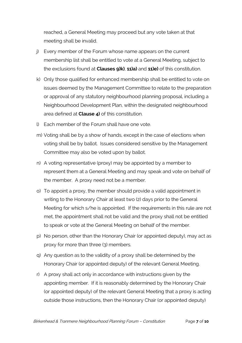reached, a General Meeting may proceed but any vote taken at that meeting shall be invalid.

- j) Every member of the Forum whose name appears on the current membership list shall be entitled to vote at a General Meeting, subject to the exclusions found at **Clauses 9)k)**, **11)a)** and **11)e)** of this constitution.
- k) Only those qualified for enhanced membership shall be entitled to vote on issues deemed by the Management Committee to relate to the preparation or approval of any statutory neighbourhood planning proposal, including a Neighbourhood Development Plan, within the designated neighbourhood area defined at **Clause 4)** of this constitution.
- l) Each member of the Forum shall have one vote.
- m) Voting shall be by a show of hands, except in the case of elections when voting shall be by ballot. Issues considered sensitive by the Management Committee may also be voted upon by ballot.
- n) A voting representative (proxy) may be appointed by a member to represent them at a General Meeting and may speak and vote on behalf of the member. A proxy need not be a member.
- o) To appoint a proxy, the member should provide a valid appointment in writing to the Honorary Chair at least two (2) days prior to the General Meeting for which s/he is appointed. If the requirements in this rule are not met, the appointment shall not be valid and the proxy shall not be entitled to speak or vote at the General Meeting on behalf of the member.
- p) No person, other than the Honorary Chair (or appointed deputy), may act as proxy for more than three (3) members.
- q) Any question as to the validity of a proxy shall be determined by the Honorary Chair (or appointed deputy) of the relevant General Meeting.
- r) A proxy shall act only in accordance with instructions given by the appointing member. If it is reasonably determined by the Honorary Chair (or appointed deputy) of the relevant General Meeting that a proxy is acting outside those instructions, then the Honorary Chair (or appointed deputy)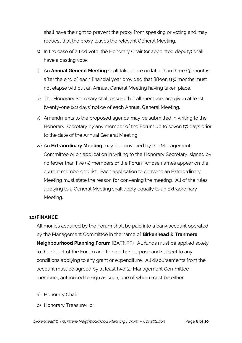shall have the right to prevent the proxy from speaking or voting and may request that the proxy leaves the relevant General Meeting.

- s) In the case of a tied vote, the Honorary Chair (or appointed deputy) shall have a casting vote.
- t) An **Annual General Meeting** shall take place no later than three (3) months after the end of each financial year provided that fifteen (15) months must not elapse without an Annual General Meeting having taken place.
- u) The Honorary Secretary shall ensure that all members are given at least twenty-one (21) days' notice of each Annual General Meeting.
- v) Amendments to the proposed agenda may be submitted in writing to the Honorary Secretary by any member of the Forum up to seven (7) days prior to the date of the Annual General Meeting.
- w) An **Extraordinary Meeting** may be convened by the Management Committee or on application in writing to the Honorary Secretary, signed by no fewer than five (5) members of the Forum whose names appear on the current membership list. Each application to convene an Extraordinary Meeting must state the reason for convening the meeting. All of the rules applying to a General Meeting shall apply equally to an Extraordinary Meeting.

#### **10)FINANCE**

All monies acquired by the Forum shall be paid into a bank account operated by the Management Committee in the name of **Birkenhead & Tranmere Neighbourhood Planning Forum** (BATNPF). All funds must be applied solely to the object of the Forum and to no other purpose and subject to any conditions applying to any grant or expenditure. All disbursements from the account must be agreed by at least two (2) Management Committee members, authorised to sign as such, one of whom must be either:

- a) Honorary Chair
- b) Honorary Treasurer, or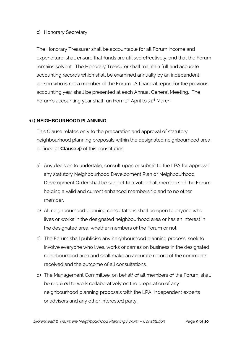#### c) Honorary Secretary

The Honorary Treasurer shall be accountable for all Forum income and expenditure; shall ensure that funds are utilised effectively, and that the Forum remains solvent. The Honorary Treasurer shall maintain full and accurate accounting records which shall be examined annually by an independent person who is not a member of the Forum. A financial report for the previous accounting year shall be presented at each Annual General Meeting. The Forum's accounting year shall run from 1<sup>st</sup> April to 31<sup>st</sup> March.

# **11) NEIGHBOURHOOD PLANNING**

This Clause relates only to the preparation and approval of statutory neighbourhood planning proposals within the designated neighbourhood area defined at **Clause 4)** of this constitution.

- a) Any decision to undertake, consult upon or submit to the LPA for approval any statutory Neighbourhood Development Plan or Neighbourhood Development Order shall be subject to a vote of all members of the Forum holding a valid and current enhanced membership and to no other member.
- b) All neighbourhood planning consultations shall be open to anyone who lives or works in the designated neighbourhood area or has an interest in the designated area, whether members of the Forum or not.
- c) The Forum shall publicise any neighbourhood planning process, seek to involve everyone who lives, works or carries on business in the designated neighbourhood area and shall make an accurate record of the comments received and the outcome of all consultations.
- d) The Management Committee, on behalf of all members of the Forum, shall be required to work collaboratively on the preparation of any neighbourhood planning proposals with the LPA, independent experts or advisors and any other interested party.